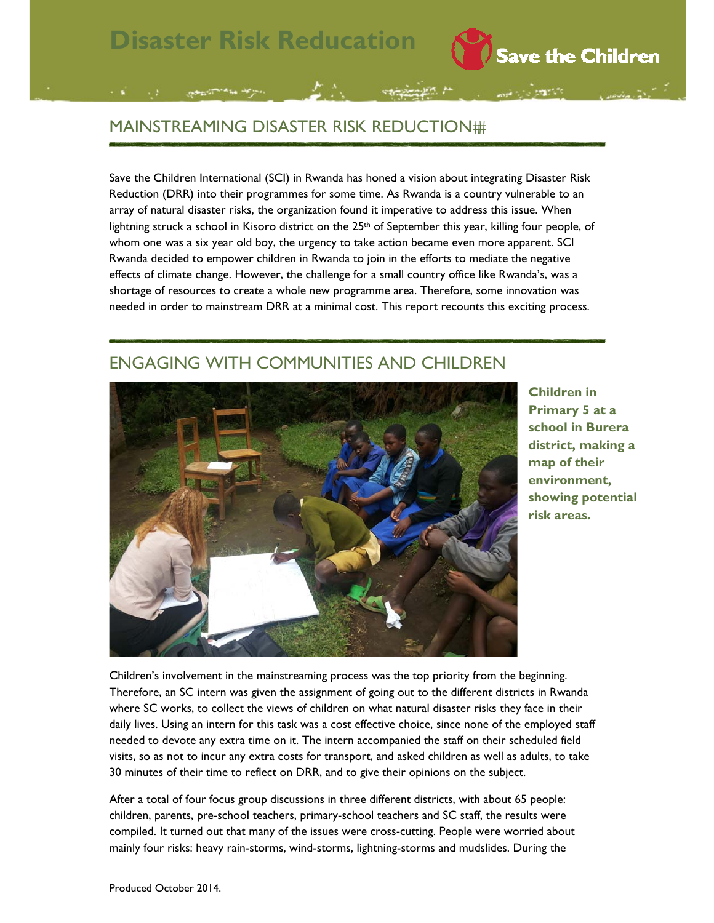## MAINSTREAMING DISASTER RISK REDUCTION

Save the Children International (SCI) in Rwanda has honed a vision about integrating Disaster Risk Reduction (DRR) into their programmes for some time. As Rwanda is a country vulnerable to an array of natural disaster risks, the organization found it imperative to address this issue. When lightning struck a school in Kisoro district on the 25<sup>th</sup> of September this year, killing four people, of whom one was a six year old boy, the urgency to take action became even more apparent. SCI Rwanda decided to empower children in Rwanda to join in the efforts to mediate the negative effects of climate change. However, the challenge for a small country office like Rwanda's, was a shortage of resources to create a whole new programme area. Therefore, some innovation was needed in order to mainstream DRR at a minimal cost. This report recounts this exciting process.

## ENGAGING WITH COMMUNITIES AND CHILDREN



**Children in Primary 5 at a school in Burera district, making a map of their environment, showing potential risk areas.**

Save the Children

Children's involvement in the mainstreaming process was the top priority from the beginning. Therefore, an SC intern was given the assignment of going out to the different districts in Rwanda where SC works, to collect the views of children on what natural disaster risks they face in their daily lives. Using an intern for this task was a cost effective choice, since none of the employed staff needed to devote any extra time on it. The intern accompanied the staff on their scheduled field visits, so as not to incur any extra costs for transport, and asked children as well as adults, to take 30 minutes of their time to reflect on DRR, and to give their opinions on the subject.

After a total of four focus group discussions in three different districts, with about 65 people: children, parents, pre-school teachers, primary-school teachers and SC staff, the results were compiled. It turned out that many of the issues were cross-cutting. People were worried about mainly four risks: heavy rain-storms, wind-storms, lightning-storms and mudslides. During the